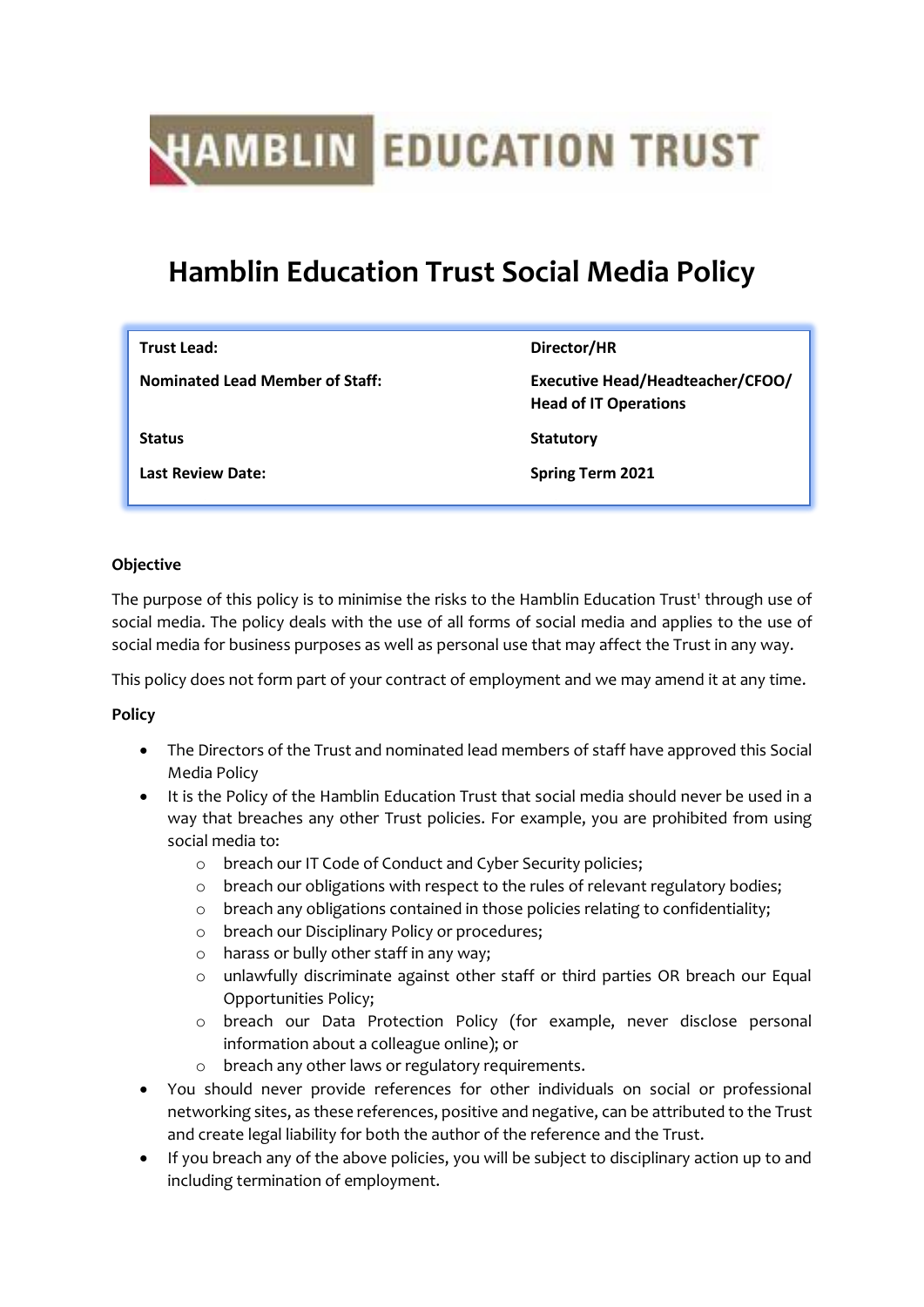# **HAMBLIN** EDUCATION TRUST

# **Hamblin Education Trust Social Media Policy**

| <b>Trust Lead:</b>                     | Director/HR                                                      |
|----------------------------------------|------------------------------------------------------------------|
| <b>Nominated Lead Member of Staff:</b> | Executive Head/Headteacher/CFOO/<br><b>Head of IT Operations</b> |
| <b>Status</b>                          | <b>Statutory</b>                                                 |
| <b>Last Review Date:</b>               | <b>Spring Term 2021</b>                                          |
|                                        |                                                                  |

### **Objective**

The purpose of this policy is to minimise the risks to the Hamblin Education Trust<sup>1</sup> through use of social media. The policy deals with the use of all forms of social media and applies to the use of social media for business purposes as well as personal use that may affect the Trust in any way.

This policy does not form part of your contract of employment and we may amend it at any time.

## **Policy**

- The Directors of the Trust and nominated lead members of staff have approved this Social Media Policy
- It is the Policy of the Hamblin Education Trust that social media should never be used in a way that breaches any other Trust policies. For example, you are prohibited from using social media to:
	- o breach our IT Code of Conduct and Cyber Security policies;
	- o breach our obligations with respect to the rules of relevant regulatory bodies;
	- o breach any obligations contained in those policies relating to confidentiality;
	- o breach our Disciplinary Policy or procedures;
	- o harass or bully other staff in any way;
	- o unlawfully discriminate against other staff or third parties OR breach our Equal Opportunities Policy;
	- o breach our Data Protection Policy (for example, never disclose personal information about a colleague online); or
	- breach any other laws or regulatory requirements.
- You should never provide references for other individuals on social or professional networking sites, as these references, positive and negative, can be attributed to the Trust and create legal liability for both the author of the reference and the Trust.
- If you breach any of the above policies, you will be subject to disciplinary action up to and including termination of employment.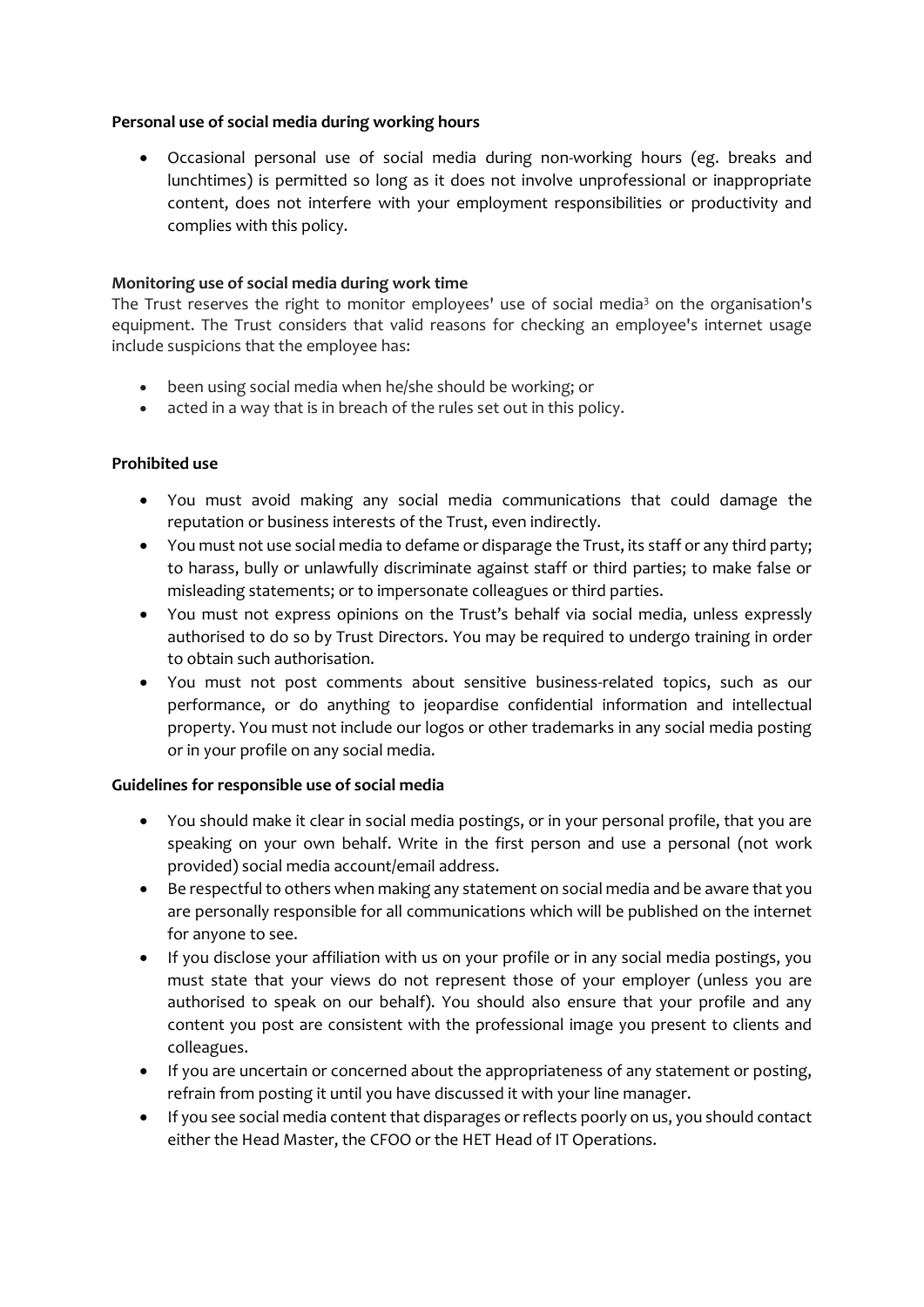#### **Personal use of social media during working hours**

• Occasional personal use of social media during non-working hours (eg. breaks and lunchtimes) is permitted so long as it does not involve unprofessional or inappropriate content, does not interfere with your employment responsibilities or productivity and complies with this policy.

#### **Monitoring use of social media during work time**

The Trust reserves the right to monitor employees' use of social media<sup>3</sup> on the organisation's equipment. The Trust considers that valid reasons for checking an employee's internet usage include suspicions that the employee has:

- been using social media when he/she should be working; or
- acted in a way that is in breach of the rules set out in this policy.

#### **Prohibited use**

- You must avoid making any social media communications that could damage the reputation or business interests of the Trust, even indirectly.
- You must not use social media to defame or disparage the Trust, its staff or any third party; to harass, bully or unlawfully discriminate against staff or third parties; to make false or misleading statements; or to impersonate colleagues or third parties.
- You must not express opinions on the Trust's behalf via social media, unless expressly authorised to do so by Trust Directors. You may be required to undergo training in order to obtain such authorisation.
- You must not post comments about sensitive business-related topics, such as our performance, or do anything to jeopardise confidential information and intellectual property. You must not include our logos or other trademarks in any social media posting or in your profile on any social media.

#### **Guidelines for responsible use of social media**

- You should make it clear in social media postings, or in your personal profile, that you are speaking on your own behalf. Write in the first person and use a personal (not work provided) social media account/email address.
- Be respectful to others when making any statement on social media and be aware that you are personally responsible for all communications which will be published on the internet for anyone to see.
- If you disclose your affiliation with us on your profile or in any social media postings, you must state that your views do not represent those of your employer (unless you are authorised to speak on our behalf). You should also ensure that your profile and any content you post are consistent with the professional image you present to clients and colleagues.
- If you are uncertain or concerned about the appropriateness of any statement or posting, refrain from posting it until you have discussed it with your line manager.
- If you see social media content that disparages or reflects poorly on us, you should contact either the Head Master, the CFOO or the HET Head of IT Operations.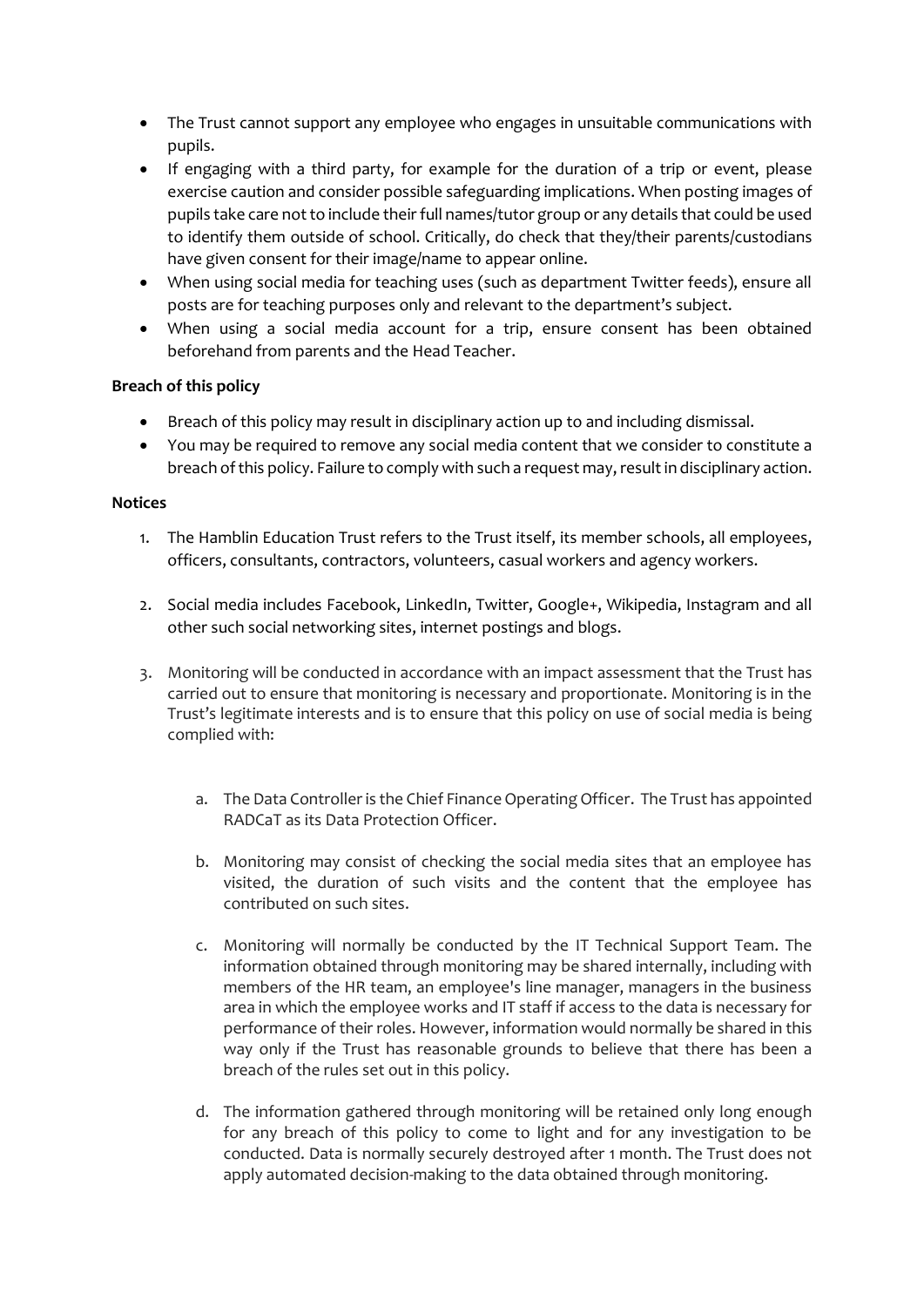- The Trust cannot support any employee who engages in unsuitable communications with pupils.
- If engaging with a third party, for example for the duration of a trip or event, please exercise caution and consider possible safeguarding implications. When posting images of pupils take care not to include their full names/tutor group or any details that could be used to identify them outside of school. Critically, do check that they/their parents/custodians have given consent for their image/name to appear online.
- When using social media for teaching uses (such as department Twitter feeds), ensure all posts are for teaching purposes only and relevant to the department's subject.
- When using a social media account for a trip, ensure consent has been obtained beforehand from parents and the Head Teacher.

#### **Breach of this policy**

- Breach of this policy may result in disciplinary action up to and including dismissal.
- You may be required to remove any social media content that we consider to constitute a breach of this policy. Failure to comply with such a request may, result in disciplinary action.

#### **Notices**

- 1. The Hamblin Education Trust refers to the Trust itself, its member schools, all employees, officers, consultants, contractors, volunteers, casual workers and agency workers.
- 2. Social media includes Facebook, LinkedIn, Twitter, Google+, Wikipedia, Instagram and all other such social networking sites, internet postings and blogs.
- 3. Monitoring will be conducted in accordance with an impact assessment that the Trust has carried out to ensure that monitoring is necessary and proportionate. Monitoring is in the Trust's legitimate interests and is to ensure that this policy on use of social media is being complied with:
	- a. The Data Controller is the Chief Finance Operating Officer. The Trust has appointed RADCaT as its Data Protection Officer.
	- b. Monitoring may consist of checking the social media sites that an employee has visited, the duration of such visits and the content that the employee has contributed on such sites.
	- c. Monitoring will normally be conducted by the IT Technical Support Team. The information obtained through monitoring may be shared internally, including with members of the HR team, an employee's line manager, managers in the business area in which the employee works and IT staff if access to the data is necessary for performance of their roles. However, information would normally be shared in this way only if the Trust has reasonable grounds to believe that there has been a breach of the rules set out in this policy.
	- d. The information gathered through monitoring will be retained only long enough for any breach of this policy to come to light and for any investigation to be conducted. Data is normally securely destroyed after 1 month. The Trust does not apply automated decision-making to the data obtained through monitoring.